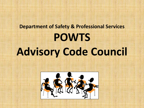# **Department of Safety & Professional Services POWTS Advisory Code Council**

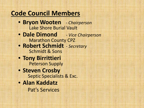## **Code Council Members**

- **Bryon Wooten** *- Chairperson* Lake Shore Burial Vault
- **Dale Dimond**  *Vice Chairperson* **Marathon County CPZ**
- **Robert Schmidt** *Secretary* Schmidt & Sons
- **Tony Birrittieri** Peterson Supply
- **Steven Crosby<br>Septic Specialists & Exc.**
- **Alan Kaddatz**

Pat's Services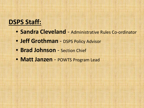### **DSPS Staff:**

- **Sandra Cleveland** Administrative Rules Co-ordinator
- **Jeff Grothman** DSPS Policy Advisor
- **Brad Johnson**  Section Chief
- **Matt Janzen**  POWTS Program Lead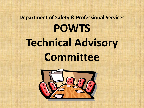# **Department of Safety & Professional Services POWTS Technical Advisory Committee**

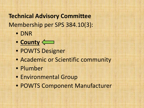### **Technical Advisory Committee** Membership per SPS 384.10(3):

- DNR
- **County**
- POWTS Designer
- Academic or Scientific community
- Plumber
- Environmental Group
- POWTS Component Manufacturer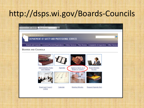# http://dsps.wi.gov/Boards-Councils

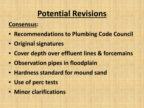## **Potential Revisions**

#### **Consensus:**

- **Recommendations to Plumbing Code Council**
- **Original signatures**
- **Cover depth over effluent lines & forcemains**
- **Observation pipes in floodplain**
- **Hardness standard for mound sand**
- **Use of perc tests**
- **Minor clarifications**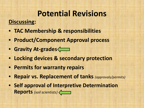### **Potential Revisions Discussing:**

- **TAC Membership & responsibilities**
- **Product/Component Approval process**
- **Gravity At-grades**
- **Locking devices & secondary protection**
- **Permits for warranty repairs**
- **Repair vs. Replacement of tanks** *(approvals/permits)*
- **Self approval of Interpretive Determination Reports** *(soil scientists)*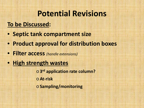## **Potential Revisions**

#### **To be Discussed:**

- **Septic tank compartment size**
- **Product approval for distribution boxes**
- **Filter access** *(handle extensions)*
- **High strength wastes**

o **3rd application rate column?** o**At-risk** o **Sampling/monitoring**